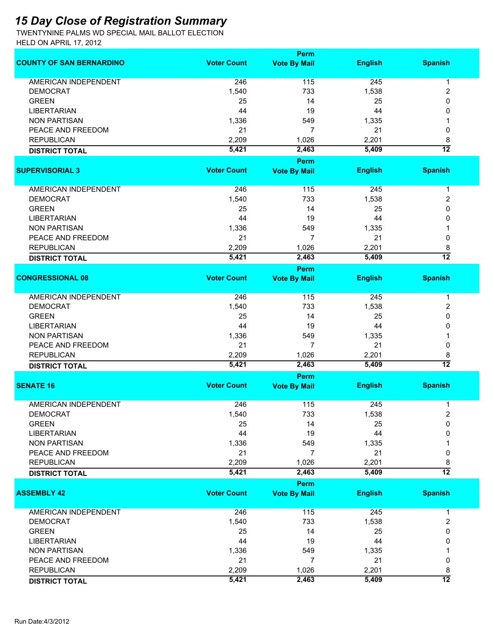## *15 Day Close of Registration Summary*

TWENTYNINE PALMS WD SPECIAL MAIL BALLOT ELECTION HELD ON APRIL 17, 2012

|                                 |                    | Perm                        |                |                 |
|---------------------------------|--------------------|-----------------------------|----------------|-----------------|
| <b>COUNTY OF SAN BERNARDINO</b> | <b>Voter Count</b> | <b>Vote By Mail</b>         | <b>English</b> | <b>Spanish</b>  |
| <b>AMERICAN INDEPENDENT</b>     | 246                | 115                         | 245            | 1               |
| <b>DEMOCRAT</b>                 | 1,540              | 733                         | 1,538          | 2               |
| <b>GREEN</b>                    | 25                 | 14                          | 25             | 0               |
| <b>LIBERTARIAN</b>              | 44                 | 19                          | 44             | 0               |
| <b>NON PARTISAN</b>             | 1,336              | 549                         | 1,335          |                 |
| PEACE AND FREEDOM               | 21                 | 7                           |                |                 |
|                                 |                    |                             | 21             | 0               |
| <b>REPUBLICAN</b>               | 2,209              | 1,026                       | 2,201          | 8               |
| <b>DISTRICT TOTAL</b>           | 5,421              | 2,463                       | 5,409          | $\overline{12}$ |
| <b>SUPERVISORIAL 3</b>          | <b>Voter Count</b> | Perm<br><b>Vote By Mail</b> | <b>English</b> | <b>Spanish</b>  |
| <b>AMERICAN INDEPENDENT</b>     | 246                | 115                         | 245            | 1               |
| <b>DEMOCRAT</b>                 | 1,540              | 733                         | 1,538          | 2               |
| <b>GREEN</b>                    | 25                 | 14                          | 25             | 0               |
| <b>LIBERTARIAN</b>              | 44                 | 19                          | 44             | 0               |
| <b>NON PARTISAN</b>             | 1,336              | 549                         | 1,335          | 1               |
|                                 |                    |                             |                |                 |
| PEACE AND FREEDOM               | 21                 | 7                           | 21             | 0               |
| <b>REPUBLICAN</b>               | 2,209              | 1,026                       | 2,201          | 8               |
| <b>DISTRICT TOTAL</b>           | 5,421              | 2,463                       | 5,409          | $\overline{12}$ |
| <b>CONGRESSIONAL 08</b>         | <b>Voter Count</b> | Perm<br><b>Vote By Mail</b> | <b>English</b> | <b>Spanish</b>  |
|                                 |                    |                             |                |                 |
| <b>AMERICAN INDEPENDENT</b>     | 246                | 115                         | 245            | $\mathbf{1}$    |
| <b>DEMOCRAT</b>                 | 1,540              | 733                         | 1,538          | 2               |
| <b>GREEN</b>                    | 25                 | 14                          | 25             | 0               |
| <b>LIBERTARIAN</b>              | 44                 | 19                          | 44             | 0               |
| <b>NON PARTISAN</b>             | 1,336              | 549                         | 1,335          |                 |
| PEACE AND FREEDOM               | 21                 | $\overline{7}$              | 21             | 0               |
| <b>REPUBLICAN</b>               | 2,209              | 1,026                       | 2,201          | 8               |
| <b>DISTRICT TOTAL</b>           | 5,421              | 2,463                       | 5,409          | $\overline{12}$ |
|                                 |                    | Perm                        |                |                 |
| <b>SENATE 16</b>                | <b>Voter Count</b> | <b>Vote By Mail</b>         | <b>English</b> | <b>Spanish</b>  |
| <b>AMERICAN INDEPENDENT</b>     | 246                | 115                         | 245            | 1               |
| DEMOCRAT                        | 1,540              | 733                         | 1,538          | 2               |
| <b>GREEN</b>                    | 25                 | 14                          | 25             | 0               |
| <b>LIBERTARIAN</b>              | 44                 | 19                          | 44             | 0               |
|                                 |                    |                             |                |                 |
| <b>NON PARTISAN</b>             | 1,336              | 549                         | 1,335          |                 |
| PEACE AND FREEDOM               | 21                 | 7                           | 21             | 0               |
| <b>REPUBLICAN</b>               | 2,209              | 1,026                       | 2,201          | 8               |
| <b>DISTRICT TOTAL</b>           | 5,421              | 2,463                       | 5,409          | $\overline{12}$ |
|                                 |                    | Perm                        |                |                 |
| <b>ASSEMBLY 42</b>              | <b>Voter Count</b> | <b>Vote By Mail</b>         | <b>English</b> | <b>Spanish</b>  |
| AMERICAN INDEPENDENT            | 246                | 115                         | 245            | 1               |
| <b>DEMOCRAT</b>                 | 1,540              | 733                         | 1,538          | 2               |
| <b>GREEN</b>                    | 25                 | 14                          | 25             | 0               |
| <b>LIBERTARIAN</b>              | 44                 | 19                          | 44             | 0               |
| <b>NON PARTISAN</b>             | 1,336              | 549                         | 1,335          |                 |
| PEACE AND FREEDOM               | 21                 | 7                           | 21             | 0               |
| <b>REPUBLICAN</b>               | 2,209              | 1,026                       | 2,201          | 8               |
| <b>DISTRICT TOTAL</b>           | 5,421              | 2,463                       | 5,409          | $\overline{12}$ |
|                                 |                    |                             |                |                 |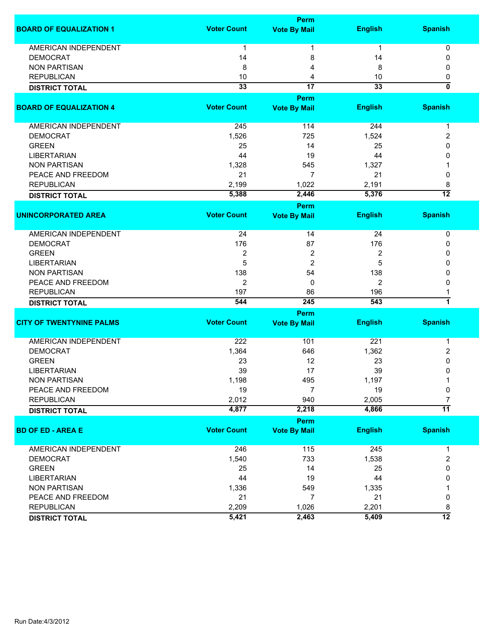| <b>Voter Count</b><br><b>English</b><br><b>Spanish</b><br><b>Vote By Mail</b><br><b>AMERICAN INDEPENDENT</b><br>0<br>1<br>$\mathbf{1}$<br>1<br><b>DEMOCRAT</b><br>14<br>8<br>14<br>0<br><b>NON PARTISAN</b><br>8<br>8<br>0<br>4<br><b>REPUBLICAN</b><br>10<br>10<br>0<br>4<br>ō<br>33<br>$\overline{17}$<br>33<br><b>DISTRICT TOTAL</b><br>Perm<br><b>Voter Count</b><br><b>English</b><br><b>Spanish</b><br><b>Vote By Mail</b><br>AMERICAN INDEPENDENT<br>114<br>245<br>244<br>$\mathbf 1$<br><b>DEMOCRAT</b><br>1,526<br>725<br>1,524<br>2<br><b>GREEN</b><br>25<br>14<br>25<br>0<br><b>LIBERTARIAN</b><br>44<br>19<br>44<br>0<br><b>NON PARTISAN</b><br>1,328<br>545<br>1,327<br>PEACE AND FREEDOM<br>21<br>21<br>7<br>0<br><b>REPUBLICAN</b><br>2,199<br>1,022<br>2,191<br>8<br>$\overline{12}$<br>5,388<br>2,446<br>5,376<br><b>DISTRICT TOTAL</b><br>Perm<br><b>Voter Count</b><br><b>English</b><br><b>Spanish</b><br><b>Vote By Mail</b><br><b>AMERICAN INDEPENDENT</b><br>24<br>14<br>24<br>0<br><b>DEMOCRAT</b><br>176<br>176<br>87<br>0<br><b>GREEN</b><br>2<br>2<br>2<br>0<br>5<br>2<br>5<br><b>LIBERTARIAN</b><br>0<br><b>NON PARTISAN</b><br>138<br>54<br>138<br>0<br>2<br>2<br>PEACE AND FREEDOM<br>0<br>0<br><b>REPUBLICAN</b><br>197<br>86<br>196<br>7<br>245<br>544<br>543<br><b>DISTRICT TOTAL</b><br>Perm<br><b>Voter Count</b><br><b>English</b><br><b>Spanish</b><br><b>Vote By Mail</b><br><b>AMERICAN INDEPENDENT</b><br>222<br>221<br>101<br>1<br>1,362<br><b>DEMOCRAT</b><br>1,364<br>646<br>2<br><b>GREEN</b><br>23<br>12<br>23<br>0<br>39<br>17<br>39<br><b>LIBERTARIAN</b><br>0<br>1,198<br>495<br>1,197<br><b>NON PARTISAN</b><br>PEACE AND FREEDOM<br>19<br>7<br>19<br>0<br>$\overline{7}$<br>2,012<br>940<br>2,005<br><b>REPUBLICAN</b><br>$\overline{11}$<br>4,877<br>2,218<br>4,866<br><b>DISTRICT TOTAL</b><br>Perm<br><b>Voter Count</b><br><b>Spanish</b><br><b>English</b><br><b>Vote By Mail</b><br>246<br>115<br>AMERICAN INDEPENDENT<br>245<br>1<br>733<br>1,538<br>$\overline{c}$<br><b>DEMOCRAT</b><br>1,540<br><b>GREEN</b><br>14<br>25<br>25<br>0<br><b>LIBERTARIAN</b><br>44<br>19<br>44<br>0<br><b>NON PARTISAN</b><br>549<br>1,335<br>1,336<br>PEACE AND FREEDOM<br>21<br>7<br>21<br>0<br><b>REPUBLICAN</b><br>2,209<br>1,026<br>2,201<br>8<br>$\overline{12}$<br>5,421<br>2,463<br>5,409 |                                 | Perm |  |
|--------------------------------------------------------------------------------------------------------------------------------------------------------------------------------------------------------------------------------------------------------------------------------------------------------------------------------------------------------------------------------------------------------------------------------------------------------------------------------------------------------------------------------------------------------------------------------------------------------------------------------------------------------------------------------------------------------------------------------------------------------------------------------------------------------------------------------------------------------------------------------------------------------------------------------------------------------------------------------------------------------------------------------------------------------------------------------------------------------------------------------------------------------------------------------------------------------------------------------------------------------------------------------------------------------------------------------------------------------------------------------------------------------------------------------------------------------------------------------------------------------------------------------------------------------------------------------------------------------------------------------------------------------------------------------------------------------------------------------------------------------------------------------------------------------------------------------------------------------------------------------------------------------------------------------------------------------------------------------------------------------------------------------------------------------------------------------------------------------------------------------------------------------------------------------------------------------------------------------------------------------------------------------------------------------------------------------------------|---------------------------------|------|--|
|                                                                                                                                                                                                                                                                                                                                                                                                                                                                                                                                                                                                                                                                                                                                                                                                                                                                                                                                                                                                                                                                                                                                                                                                                                                                                                                                                                                                                                                                                                                                                                                                                                                                                                                                                                                                                                                                                                                                                                                                                                                                                                                                                                                                                                                                                                                                            | <b>BOARD OF EQUALIZATION 1</b>  |      |  |
|                                                                                                                                                                                                                                                                                                                                                                                                                                                                                                                                                                                                                                                                                                                                                                                                                                                                                                                                                                                                                                                                                                                                                                                                                                                                                                                                                                                                                                                                                                                                                                                                                                                                                                                                                                                                                                                                                                                                                                                                                                                                                                                                                                                                                                                                                                                                            |                                 |      |  |
|                                                                                                                                                                                                                                                                                                                                                                                                                                                                                                                                                                                                                                                                                                                                                                                                                                                                                                                                                                                                                                                                                                                                                                                                                                                                                                                                                                                                                                                                                                                                                                                                                                                                                                                                                                                                                                                                                                                                                                                                                                                                                                                                                                                                                                                                                                                                            |                                 |      |  |
|                                                                                                                                                                                                                                                                                                                                                                                                                                                                                                                                                                                                                                                                                                                                                                                                                                                                                                                                                                                                                                                                                                                                                                                                                                                                                                                                                                                                                                                                                                                                                                                                                                                                                                                                                                                                                                                                                                                                                                                                                                                                                                                                                                                                                                                                                                                                            |                                 |      |  |
|                                                                                                                                                                                                                                                                                                                                                                                                                                                                                                                                                                                                                                                                                                                                                                                                                                                                                                                                                                                                                                                                                                                                                                                                                                                                                                                                                                                                                                                                                                                                                                                                                                                                                                                                                                                                                                                                                                                                                                                                                                                                                                                                                                                                                                                                                                                                            |                                 |      |  |
|                                                                                                                                                                                                                                                                                                                                                                                                                                                                                                                                                                                                                                                                                                                                                                                                                                                                                                                                                                                                                                                                                                                                                                                                                                                                                                                                                                                                                                                                                                                                                                                                                                                                                                                                                                                                                                                                                                                                                                                                                                                                                                                                                                                                                                                                                                                                            |                                 |      |  |
|                                                                                                                                                                                                                                                                                                                                                                                                                                                                                                                                                                                                                                                                                                                                                                                                                                                                                                                                                                                                                                                                                                                                                                                                                                                                                                                                                                                                                                                                                                                                                                                                                                                                                                                                                                                                                                                                                                                                                                                                                                                                                                                                                                                                                                                                                                                                            |                                 |      |  |
|                                                                                                                                                                                                                                                                                                                                                                                                                                                                                                                                                                                                                                                                                                                                                                                                                                                                                                                                                                                                                                                                                                                                                                                                                                                                                                                                                                                                                                                                                                                                                                                                                                                                                                                                                                                                                                                                                                                                                                                                                                                                                                                                                                                                                                                                                                                                            | <b>BOARD OF EQUALIZATION 4</b>  |      |  |
|                                                                                                                                                                                                                                                                                                                                                                                                                                                                                                                                                                                                                                                                                                                                                                                                                                                                                                                                                                                                                                                                                                                                                                                                                                                                                                                                                                                                                                                                                                                                                                                                                                                                                                                                                                                                                                                                                                                                                                                                                                                                                                                                                                                                                                                                                                                                            |                                 |      |  |
|                                                                                                                                                                                                                                                                                                                                                                                                                                                                                                                                                                                                                                                                                                                                                                                                                                                                                                                                                                                                                                                                                                                                                                                                                                                                                                                                                                                                                                                                                                                                                                                                                                                                                                                                                                                                                                                                                                                                                                                                                                                                                                                                                                                                                                                                                                                                            |                                 |      |  |
|                                                                                                                                                                                                                                                                                                                                                                                                                                                                                                                                                                                                                                                                                                                                                                                                                                                                                                                                                                                                                                                                                                                                                                                                                                                                                                                                                                                                                                                                                                                                                                                                                                                                                                                                                                                                                                                                                                                                                                                                                                                                                                                                                                                                                                                                                                                                            |                                 |      |  |
|                                                                                                                                                                                                                                                                                                                                                                                                                                                                                                                                                                                                                                                                                                                                                                                                                                                                                                                                                                                                                                                                                                                                                                                                                                                                                                                                                                                                                                                                                                                                                                                                                                                                                                                                                                                                                                                                                                                                                                                                                                                                                                                                                                                                                                                                                                                                            |                                 |      |  |
|                                                                                                                                                                                                                                                                                                                                                                                                                                                                                                                                                                                                                                                                                                                                                                                                                                                                                                                                                                                                                                                                                                                                                                                                                                                                                                                                                                                                                                                                                                                                                                                                                                                                                                                                                                                                                                                                                                                                                                                                                                                                                                                                                                                                                                                                                                                                            |                                 |      |  |
|                                                                                                                                                                                                                                                                                                                                                                                                                                                                                                                                                                                                                                                                                                                                                                                                                                                                                                                                                                                                                                                                                                                                                                                                                                                                                                                                                                                                                                                                                                                                                                                                                                                                                                                                                                                                                                                                                                                                                                                                                                                                                                                                                                                                                                                                                                                                            |                                 |      |  |
|                                                                                                                                                                                                                                                                                                                                                                                                                                                                                                                                                                                                                                                                                                                                                                                                                                                                                                                                                                                                                                                                                                                                                                                                                                                                                                                                                                                                                                                                                                                                                                                                                                                                                                                                                                                                                                                                                                                                                                                                                                                                                                                                                                                                                                                                                                                                            |                                 |      |  |
|                                                                                                                                                                                                                                                                                                                                                                                                                                                                                                                                                                                                                                                                                                                                                                                                                                                                                                                                                                                                                                                                                                                                                                                                                                                                                                                                                                                                                                                                                                                                                                                                                                                                                                                                                                                                                                                                                                                                                                                                                                                                                                                                                                                                                                                                                                                                            |                                 |      |  |
|                                                                                                                                                                                                                                                                                                                                                                                                                                                                                                                                                                                                                                                                                                                                                                                                                                                                                                                                                                                                                                                                                                                                                                                                                                                                                                                                                                                                                                                                                                                                                                                                                                                                                                                                                                                                                                                                                                                                                                                                                                                                                                                                                                                                                                                                                                                                            |                                 |      |  |
|                                                                                                                                                                                                                                                                                                                                                                                                                                                                                                                                                                                                                                                                                                                                                                                                                                                                                                                                                                                                                                                                                                                                                                                                                                                                                                                                                                                                                                                                                                                                                                                                                                                                                                                                                                                                                                                                                                                                                                                                                                                                                                                                                                                                                                                                                                                                            | <b>UNINCORPORATED AREA</b>      |      |  |
|                                                                                                                                                                                                                                                                                                                                                                                                                                                                                                                                                                                                                                                                                                                                                                                                                                                                                                                                                                                                                                                                                                                                                                                                                                                                                                                                                                                                                                                                                                                                                                                                                                                                                                                                                                                                                                                                                                                                                                                                                                                                                                                                                                                                                                                                                                                                            |                                 |      |  |
|                                                                                                                                                                                                                                                                                                                                                                                                                                                                                                                                                                                                                                                                                                                                                                                                                                                                                                                                                                                                                                                                                                                                                                                                                                                                                                                                                                                                                                                                                                                                                                                                                                                                                                                                                                                                                                                                                                                                                                                                                                                                                                                                                                                                                                                                                                                                            |                                 |      |  |
|                                                                                                                                                                                                                                                                                                                                                                                                                                                                                                                                                                                                                                                                                                                                                                                                                                                                                                                                                                                                                                                                                                                                                                                                                                                                                                                                                                                                                                                                                                                                                                                                                                                                                                                                                                                                                                                                                                                                                                                                                                                                                                                                                                                                                                                                                                                                            |                                 |      |  |
|                                                                                                                                                                                                                                                                                                                                                                                                                                                                                                                                                                                                                                                                                                                                                                                                                                                                                                                                                                                                                                                                                                                                                                                                                                                                                                                                                                                                                                                                                                                                                                                                                                                                                                                                                                                                                                                                                                                                                                                                                                                                                                                                                                                                                                                                                                                                            |                                 |      |  |
|                                                                                                                                                                                                                                                                                                                                                                                                                                                                                                                                                                                                                                                                                                                                                                                                                                                                                                                                                                                                                                                                                                                                                                                                                                                                                                                                                                                                                                                                                                                                                                                                                                                                                                                                                                                                                                                                                                                                                                                                                                                                                                                                                                                                                                                                                                                                            |                                 |      |  |
|                                                                                                                                                                                                                                                                                                                                                                                                                                                                                                                                                                                                                                                                                                                                                                                                                                                                                                                                                                                                                                                                                                                                                                                                                                                                                                                                                                                                                                                                                                                                                                                                                                                                                                                                                                                                                                                                                                                                                                                                                                                                                                                                                                                                                                                                                                                                            |                                 |      |  |
|                                                                                                                                                                                                                                                                                                                                                                                                                                                                                                                                                                                                                                                                                                                                                                                                                                                                                                                                                                                                                                                                                                                                                                                                                                                                                                                                                                                                                                                                                                                                                                                                                                                                                                                                                                                                                                                                                                                                                                                                                                                                                                                                                                                                                                                                                                                                            |                                 |      |  |
|                                                                                                                                                                                                                                                                                                                                                                                                                                                                                                                                                                                                                                                                                                                                                                                                                                                                                                                                                                                                                                                                                                                                                                                                                                                                                                                                                                                                                                                                                                                                                                                                                                                                                                                                                                                                                                                                                                                                                                                                                                                                                                                                                                                                                                                                                                                                            |                                 |      |  |
|                                                                                                                                                                                                                                                                                                                                                                                                                                                                                                                                                                                                                                                                                                                                                                                                                                                                                                                                                                                                                                                                                                                                                                                                                                                                                                                                                                                                                                                                                                                                                                                                                                                                                                                                                                                                                                                                                                                                                                                                                                                                                                                                                                                                                                                                                                                                            |                                 |      |  |
|                                                                                                                                                                                                                                                                                                                                                                                                                                                                                                                                                                                                                                                                                                                                                                                                                                                                                                                                                                                                                                                                                                                                                                                                                                                                                                                                                                                                                                                                                                                                                                                                                                                                                                                                                                                                                                                                                                                                                                                                                                                                                                                                                                                                                                                                                                                                            | <b>CITY OF TWENTYNINE PALMS</b> |      |  |
|                                                                                                                                                                                                                                                                                                                                                                                                                                                                                                                                                                                                                                                                                                                                                                                                                                                                                                                                                                                                                                                                                                                                                                                                                                                                                                                                                                                                                                                                                                                                                                                                                                                                                                                                                                                                                                                                                                                                                                                                                                                                                                                                                                                                                                                                                                                                            |                                 |      |  |
|                                                                                                                                                                                                                                                                                                                                                                                                                                                                                                                                                                                                                                                                                                                                                                                                                                                                                                                                                                                                                                                                                                                                                                                                                                                                                                                                                                                                                                                                                                                                                                                                                                                                                                                                                                                                                                                                                                                                                                                                                                                                                                                                                                                                                                                                                                                                            |                                 |      |  |
|                                                                                                                                                                                                                                                                                                                                                                                                                                                                                                                                                                                                                                                                                                                                                                                                                                                                                                                                                                                                                                                                                                                                                                                                                                                                                                                                                                                                                                                                                                                                                                                                                                                                                                                                                                                                                                                                                                                                                                                                                                                                                                                                                                                                                                                                                                                                            |                                 |      |  |
|                                                                                                                                                                                                                                                                                                                                                                                                                                                                                                                                                                                                                                                                                                                                                                                                                                                                                                                                                                                                                                                                                                                                                                                                                                                                                                                                                                                                                                                                                                                                                                                                                                                                                                                                                                                                                                                                                                                                                                                                                                                                                                                                                                                                                                                                                                                                            |                                 |      |  |
|                                                                                                                                                                                                                                                                                                                                                                                                                                                                                                                                                                                                                                                                                                                                                                                                                                                                                                                                                                                                                                                                                                                                                                                                                                                                                                                                                                                                                                                                                                                                                                                                                                                                                                                                                                                                                                                                                                                                                                                                                                                                                                                                                                                                                                                                                                                                            |                                 |      |  |
|                                                                                                                                                                                                                                                                                                                                                                                                                                                                                                                                                                                                                                                                                                                                                                                                                                                                                                                                                                                                                                                                                                                                                                                                                                                                                                                                                                                                                                                                                                                                                                                                                                                                                                                                                                                                                                                                                                                                                                                                                                                                                                                                                                                                                                                                                                                                            |                                 |      |  |
|                                                                                                                                                                                                                                                                                                                                                                                                                                                                                                                                                                                                                                                                                                                                                                                                                                                                                                                                                                                                                                                                                                                                                                                                                                                                                                                                                                                                                                                                                                                                                                                                                                                                                                                                                                                                                                                                                                                                                                                                                                                                                                                                                                                                                                                                                                                                            |                                 |      |  |
|                                                                                                                                                                                                                                                                                                                                                                                                                                                                                                                                                                                                                                                                                                                                                                                                                                                                                                                                                                                                                                                                                                                                                                                                                                                                                                                                                                                                                                                                                                                                                                                                                                                                                                                                                                                                                                                                                                                                                                                                                                                                                                                                                                                                                                                                                                                                            |                                 |      |  |
|                                                                                                                                                                                                                                                                                                                                                                                                                                                                                                                                                                                                                                                                                                                                                                                                                                                                                                                                                                                                                                                                                                                                                                                                                                                                                                                                                                                                                                                                                                                                                                                                                                                                                                                                                                                                                                                                                                                                                                                                                                                                                                                                                                                                                                                                                                                                            |                                 |      |  |
|                                                                                                                                                                                                                                                                                                                                                                                                                                                                                                                                                                                                                                                                                                                                                                                                                                                                                                                                                                                                                                                                                                                                                                                                                                                                                                                                                                                                                                                                                                                                                                                                                                                                                                                                                                                                                                                                                                                                                                                                                                                                                                                                                                                                                                                                                                                                            | <b>BD OF ED - AREA E</b>        |      |  |
|                                                                                                                                                                                                                                                                                                                                                                                                                                                                                                                                                                                                                                                                                                                                                                                                                                                                                                                                                                                                                                                                                                                                                                                                                                                                                                                                                                                                                                                                                                                                                                                                                                                                                                                                                                                                                                                                                                                                                                                                                                                                                                                                                                                                                                                                                                                                            |                                 |      |  |
|                                                                                                                                                                                                                                                                                                                                                                                                                                                                                                                                                                                                                                                                                                                                                                                                                                                                                                                                                                                                                                                                                                                                                                                                                                                                                                                                                                                                                                                                                                                                                                                                                                                                                                                                                                                                                                                                                                                                                                                                                                                                                                                                                                                                                                                                                                                                            |                                 |      |  |
|                                                                                                                                                                                                                                                                                                                                                                                                                                                                                                                                                                                                                                                                                                                                                                                                                                                                                                                                                                                                                                                                                                                                                                                                                                                                                                                                                                                                                                                                                                                                                                                                                                                                                                                                                                                                                                                                                                                                                                                                                                                                                                                                                                                                                                                                                                                                            |                                 |      |  |
|                                                                                                                                                                                                                                                                                                                                                                                                                                                                                                                                                                                                                                                                                                                                                                                                                                                                                                                                                                                                                                                                                                                                                                                                                                                                                                                                                                                                                                                                                                                                                                                                                                                                                                                                                                                                                                                                                                                                                                                                                                                                                                                                                                                                                                                                                                                                            |                                 |      |  |
|                                                                                                                                                                                                                                                                                                                                                                                                                                                                                                                                                                                                                                                                                                                                                                                                                                                                                                                                                                                                                                                                                                                                                                                                                                                                                                                                                                                                                                                                                                                                                                                                                                                                                                                                                                                                                                                                                                                                                                                                                                                                                                                                                                                                                                                                                                                                            |                                 |      |  |
|                                                                                                                                                                                                                                                                                                                                                                                                                                                                                                                                                                                                                                                                                                                                                                                                                                                                                                                                                                                                                                                                                                                                                                                                                                                                                                                                                                                                                                                                                                                                                                                                                                                                                                                                                                                                                                                                                                                                                                                                                                                                                                                                                                                                                                                                                                                                            |                                 |      |  |
|                                                                                                                                                                                                                                                                                                                                                                                                                                                                                                                                                                                                                                                                                                                                                                                                                                                                                                                                                                                                                                                                                                                                                                                                                                                                                                                                                                                                                                                                                                                                                                                                                                                                                                                                                                                                                                                                                                                                                                                                                                                                                                                                                                                                                                                                                                                                            |                                 |      |  |
|                                                                                                                                                                                                                                                                                                                                                                                                                                                                                                                                                                                                                                                                                                                                                                                                                                                                                                                                                                                                                                                                                                                                                                                                                                                                                                                                                                                                                                                                                                                                                                                                                                                                                                                                                                                                                                                                                                                                                                                                                                                                                                                                                                                                                                                                                                                                            | <b>DISTRICT TOTAL</b>           |      |  |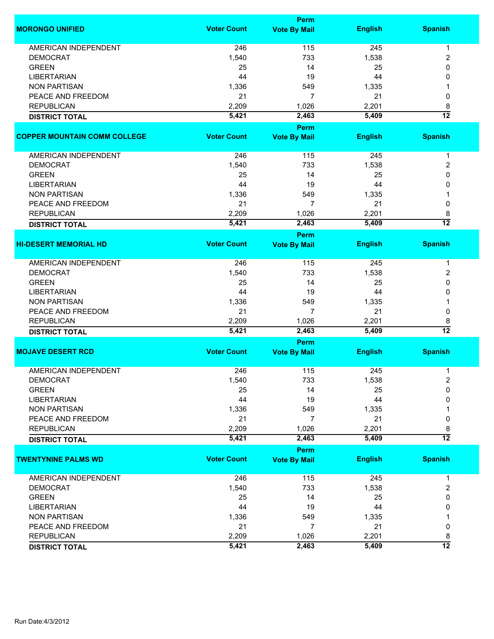|                                     |                    | Perm                |                |                 |
|-------------------------------------|--------------------|---------------------|----------------|-----------------|
| <b>MORONGO UNIFIED</b>              | <b>Voter Count</b> | <b>Vote By Mail</b> | <b>English</b> | <b>Spanish</b>  |
| <b>AMERICAN INDEPENDENT</b>         | 246                | 115                 | 245            | $\mathbf{1}$    |
| <b>DEMOCRAT</b>                     | 1,540              | 733                 | 1,538          | 2               |
| <b>GREEN</b>                        | 25                 | 14                  | 25             | 0               |
| <b>LIBERTARIAN</b>                  | 44                 | 19                  | 44             | 0               |
| <b>NON PARTISAN</b>                 | 1,336              | 549                 | 1,335          |                 |
| PEACE AND FREEDOM                   | 21                 | 7                   | 21             | 0               |
| <b>REPUBLICAN</b>                   | 2,209              | 1,026               | 2,201          | 8               |
| <b>DISTRICT TOTAL</b>               | 5,421              | 2,463               | 5,409          | $\overline{12}$ |
|                                     |                    | Perm                |                |                 |
| <b>COPPER MOUNTAIN COMM COLLEGE</b> | <b>Voter Count</b> | <b>Vote By Mail</b> | <b>English</b> | <b>Spanish</b>  |
| <b>AMERICAN INDEPENDENT</b>         | 246                | 115                 | 245            | $\mathbf 1$     |
| <b>DEMOCRAT</b>                     | 1,540              | 733                 | 1,538          | 2               |
| <b>GREEN</b>                        | 25                 | 14                  | 25             | 0               |
| <b>LIBERTARIAN</b>                  | 44                 | 19                  | 44             | 0               |
| <b>NON PARTISAN</b>                 | 1,336              | 549                 | 1,335          |                 |
| PEACE AND FREEDOM                   | 21                 | 7                   | 21             | 0               |
| <b>REPUBLICAN</b>                   | 2,209              | 1,026               | 2,201          | 8               |
| <b>DISTRICT TOTAL</b>               | 5,421              | 2,463               | 5,409          | $\overline{12}$ |
|                                     |                    | <b>Perm</b>         |                |                 |
| <b>HI-DESERT MEMORIAL HD</b>        | <b>Voter Count</b> | <b>Vote By Mail</b> | <b>English</b> | <b>Spanish</b>  |
| AMERICAN INDEPENDENT                | 246                | 115                 | 245            | $\mathbf{1}$    |
| <b>DEMOCRAT</b>                     | 1,540              | 733                 | 1,538          | 2               |
| <b>GREEN</b>                        | 25                 | 14                  | 25             | 0               |
| <b>LIBERTARIAN</b>                  | 44                 | 19                  | 44             | 0               |
| <b>NON PARTISAN</b>                 | 1,336              | 549                 | 1,335          | 1               |
| PEACE AND FREEDOM                   | 21                 | $\overline{7}$      | 21             | 0               |
| <b>REPUBLICAN</b>                   | 2,209              | 1,026               | 2,201          | 8               |
| <b>DISTRICT TOTAL</b>               | 5,421              | 2,463               | 5,409          | $\overline{12}$ |
|                                     |                    | <b>Perm</b>         |                |                 |
| <b>MOJAVE DESERT RCD</b>            | <b>Voter Count</b> | <b>Vote By Mail</b> | <b>English</b> | <b>Spanish</b>  |
| <b>AMERICAN INDEPENDENT</b>         | 246                | 115                 | 245            | 1               |
| DEMOCRAT                            | 1,540              | 733                 | 1,538          | 2               |
| <b>GREEN</b>                        | 25                 | 14                  | 25             | $\mathbf 0$     |
| <b>LIBERTARIAN</b>                  | 44                 | 19                  | 44             | 0               |
| <b>NON PARTISAN</b>                 | 1,336              | 549                 | 1,335          |                 |
| PEACE AND FREEDOM                   | 21                 | 7                   | 21             | 0               |
| <b>REPUBLICAN</b>                   | 2,209              | 1,026               | 2,201          | 8               |
| <b>DISTRICT TOTAL</b>               | 5,421              | 2,463               | 5,409          | $\overline{12}$ |
|                                     |                    | Perm                |                |                 |
| <b>TWENTYNINE PALMS WD</b>          | <b>Voter Count</b> | <b>Vote By Mail</b> | <b>English</b> | <b>Spanish</b>  |
| <b>AMERICAN INDEPENDENT</b>         | 246                | 115                 | 245            | $\mathbf 1$     |
| <b>DEMOCRAT</b>                     | 1,540              | 733                 | 1,538          | $\overline{2}$  |
| <b>GREEN</b>                        | 25                 | 14                  | 25             | 0               |
| <b>LIBERTARIAN</b>                  | 44                 | 19                  | 44             | 0               |
| <b>NON PARTISAN</b>                 | 1,336              | 549                 | 1,335          |                 |
| PEACE AND FREEDOM                   | 21                 | 7                   | 21             | 0               |
| <b>REPUBLICAN</b>                   | 2,209              | 1,026               | 2,201          | 8               |
| <b>DISTRICT TOTAL</b>               | 5,421              | 2,463               | 5,409          | 12              |
|                                     |                    |                     |                |                 |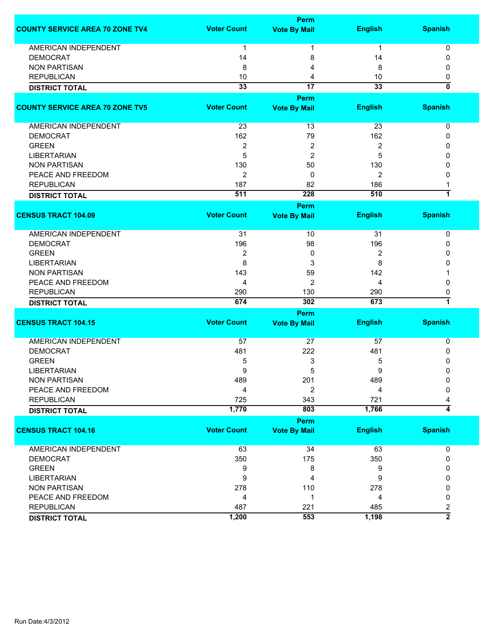|                                        | Perm               |                             |                  |                         |  |
|----------------------------------------|--------------------|-----------------------------|------------------|-------------------------|--|
| <b>COUNTY SERVICE AREA 70 ZONE TV4</b> | <b>Voter Count</b> | <b>Vote By Mail</b>         | <b>English</b>   | <b>Spanish</b>          |  |
| <b>AMERICAN INDEPENDENT</b>            | 1                  |                             | $\mathbf 1$      | 0                       |  |
| <b>DEMOCRAT</b>                        | 14                 | 8                           | 14               | $\Omega$                |  |
| <b>NON PARTISAN</b>                    | 8                  | 4                           | 8                | 0                       |  |
| <b>REPUBLICAN</b>                      | 10                 | 4                           | 10               | 0                       |  |
| <b>DISTRICT TOTAL</b>                  | $\overline{33}$    | $\overline{17}$             | 33               | 0                       |  |
|                                        |                    | Perm                        |                  |                         |  |
| <b>COUNTY SERVICE AREA 70 ZONE TV5</b> | <b>Voter Count</b> | <b>Vote By Mail</b>         | <b>English</b>   | <b>Spanish</b>          |  |
| AMERICAN INDEPENDENT                   | 23                 | 13                          | 23               | 0                       |  |
| <b>DEMOCRAT</b>                        | 162                | 79                          | 162              | 0                       |  |
| <b>GREEN</b>                           | 2                  | 2                           | 2                | 0                       |  |
| <b>LIBERTARIAN</b>                     | 5                  | 2                           | 5                | 0                       |  |
| <b>NON PARTISAN</b>                    | 130                | 50                          | 130              | 0                       |  |
| PEACE AND FREEDOM                      | 2                  | 0                           | 2                | 0                       |  |
| <b>REPUBLICAN</b>                      | 187                | 82                          | 186              |                         |  |
| <b>DISTRICT TOTAL</b>                  | 511                | 228                         | 510              | $\overline{1}$          |  |
|                                        |                    | Perm                        |                  |                         |  |
| <b>CENSUS TRACT 104.09</b>             | <b>Voter Count</b> | <b>Vote By Mail</b>         | <b>English</b>   | <b>Spanish</b>          |  |
|                                        |                    |                             |                  |                         |  |
| AMERICAN INDEPENDENT                   | 31                 | 10                          | 31               | 0                       |  |
| <b>DEMOCRAT</b>                        | 196                | 98                          | 196              | 0                       |  |
| <b>GREEN</b>                           | 2                  | 0                           | $\boldsymbol{2}$ | 0                       |  |
| <b>LIBERTARIAN</b>                     | 8                  | 3                           | 8                | 0                       |  |
| <b>NON PARTISAN</b>                    | 143                | 59                          | 142              |                         |  |
| PEACE AND FREEDOM                      | 4                  | $\overline{2}$              | 4                | 0                       |  |
| <b>REPUBLICAN</b>                      | 290                | 130                         | 290              | 0                       |  |
| <b>DISTRICT TOTAL</b>                  | 674                | 302                         | 673              | $\overline{\mathbf{1}}$ |  |
|                                        |                    | Perm                        |                  |                         |  |
| <b>CENSUS TRACT 104.15</b>             | <b>Voter Count</b> | <b>Vote By Mail</b>         | <b>English</b>   | <b>Spanish</b>          |  |
| <b>AMERICAN INDEPENDENT</b>            | 57                 | 27                          | 57               | 0                       |  |
| <b>DEMOCRAT</b>                        | 481                | 222                         | 481              | 0                       |  |
| <b>GREEN</b>                           | 5                  | 3                           | 5                | 0                       |  |
| LIBERTARIAN                            | 9                  | 5                           | 9                | 0                       |  |
| <b>NON PARTISAN</b>                    | 489                | 201                         | 489              | 0                       |  |
| PEACE AND FREEDOM                      | 4                  | 2                           | 4                | 0                       |  |
| <b>REPUBLICAN</b>                      | 725                | 343                         | 721              |                         |  |
| <b>DISTRICT TOTAL</b>                  | 1,770              | 803                         | 1,766            | 4                       |  |
|                                        |                    |                             |                  |                         |  |
| <b>CENSUS TRACT 104.16</b>             | <b>Voter Count</b> | Perm<br><b>Vote By Mail</b> | <b>English</b>   | <b>Spanish</b>          |  |
|                                        |                    |                             |                  |                         |  |
| AMERICAN INDEPENDENT                   | 63                 | 34                          | 63               | 0                       |  |
| <b>DEMOCRAT</b>                        | 350                | 175                         | 350              | 0                       |  |
| <b>GREEN</b>                           | 9                  | 8                           | 9                | 0                       |  |
| <b>LIBERTARIAN</b>                     | 9                  | 4                           | 9                | 0                       |  |
| <b>NON PARTISAN</b>                    | 278                | 110                         | 278              | 0                       |  |
| PEACE AND FREEDOM                      | 4                  | 1                           | 4                | 0                       |  |
| <b>REPUBLICAN</b>                      | 487                | 221                         | 485              | 2                       |  |
| <b>DISTRICT TOTAL</b>                  | 1,200              | 553                         | 1,198            | $\overline{2}$          |  |
|                                        |                    |                             |                  |                         |  |